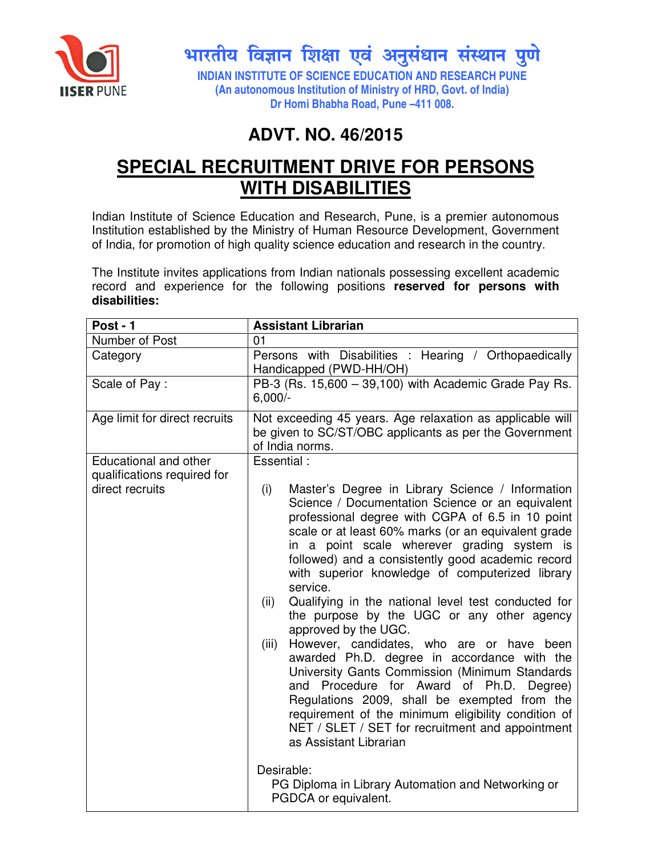

 $\mathbb{R}^2$ भारतीय विज्ञान शिक्षा एवं अनुसंधान संस्थान पुणे

**INDIAN INSTITUTE OF SCIENCE EDUCATION AND RESEARCH PUNE (An autonomous Institution of Ministry of HRD, Govt. of India) Dr Homi Bhabha Road, Pune –411 008.** 

## **ADVT. NO. 46/2015**

# **SPECIAL RECRUITMENT DRIVE FOR PERSONS WITH DISABILITIES**

Indian Institute of Science Education and Research, Pune, is a premier autonomous Institution established by the Ministry of Human Resource Development, Government of India, for promotion of high quality science education and research in the country.

The Institute invites applications from Indian nationals possessing excellent academic record and experience for the following positions **reserved for persons with disabilities:**

| Post - 1                                             | <b>Assistant Librarian</b>                                                                                                                                                                                                                                                                                                                                                                                                                                                                                                                                                                                                                                                                                                                                                                                                                                                                                                                                                                                         |
|------------------------------------------------------|--------------------------------------------------------------------------------------------------------------------------------------------------------------------------------------------------------------------------------------------------------------------------------------------------------------------------------------------------------------------------------------------------------------------------------------------------------------------------------------------------------------------------------------------------------------------------------------------------------------------------------------------------------------------------------------------------------------------------------------------------------------------------------------------------------------------------------------------------------------------------------------------------------------------------------------------------------------------------------------------------------------------|
| Number of Post                                       | 01                                                                                                                                                                                                                                                                                                                                                                                                                                                                                                                                                                                                                                                                                                                                                                                                                                                                                                                                                                                                                 |
| Category                                             | Persons with Disabilities : Hearing / Orthopaedically<br>Handicapped (PWD-HH/OH)                                                                                                                                                                                                                                                                                                                                                                                                                                                                                                                                                                                                                                                                                                                                                                                                                                                                                                                                   |
| Scale of Pay:                                        | PB-3 (Rs. 15,600 - 39,100) with Academic Grade Pay Rs.<br>$6,000/-$                                                                                                                                                                                                                                                                                                                                                                                                                                                                                                                                                                                                                                                                                                                                                                                                                                                                                                                                                |
| Age limit for direct recruits                        | Not exceeding 45 years. Age relaxation as applicable will<br>be given to SC/ST/OBC applicants as per the Government<br>of India norms.                                                                                                                                                                                                                                                                                                                                                                                                                                                                                                                                                                                                                                                                                                                                                                                                                                                                             |
| Educational and other<br>qualifications required for | Essential:                                                                                                                                                                                                                                                                                                                                                                                                                                                                                                                                                                                                                                                                                                                                                                                                                                                                                                                                                                                                         |
| direct recruits                                      | (i)<br>Master's Degree in Library Science / Information<br>Science / Documentation Science or an equivalent<br>professional degree with CGPA of 6.5 in 10 point<br>scale or at least 60% marks (or an equivalent grade<br>in a point scale wherever grading system is<br>followed) and a consistently good academic record<br>with superior knowledge of computerized library<br>service.<br>Qualifying in the national level test conducted for<br>(ii)<br>the purpose by the UGC or any other agency<br>approved by the UGC.<br>(iii)<br>However, candidates, who are or have been<br>awarded Ph.D. degree in accordance with the<br>University Gants Commission (Minimum Standards<br>and Procedure for Award of Ph.D. Degree)<br>Regulations 2009, shall be exempted from the<br>requirement of the minimum eligibility condition of<br>NET / SLET / SET for recruitment and appointment<br>as Assistant Librarian<br>Desirable:<br>PG Diploma in Library Automation and Networking or<br>PGDCA or equivalent. |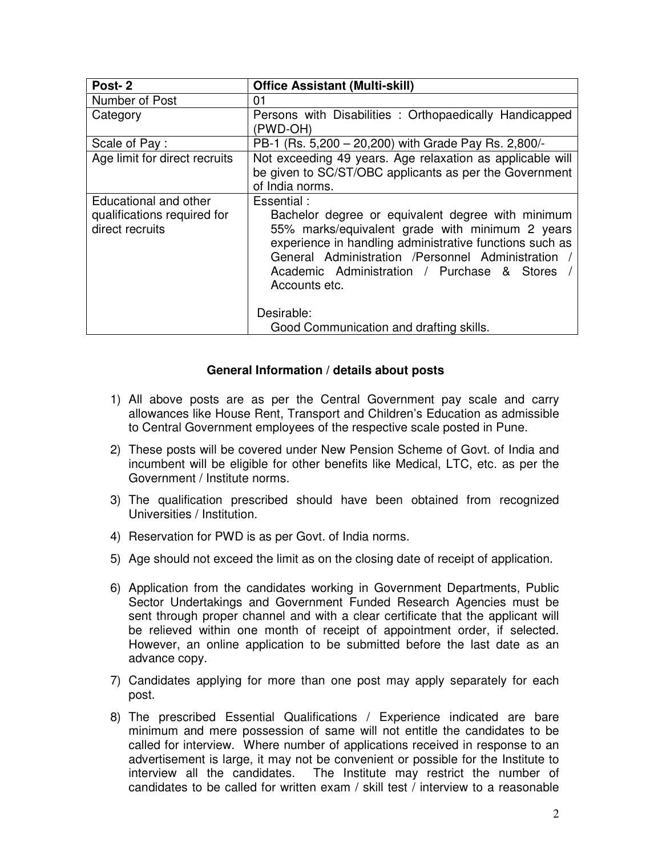| Post-2                                                                  | <b>Office Assistant (Multi-skill)</b>                                                                                                                                                                                                                                                                           |
|-------------------------------------------------------------------------|-----------------------------------------------------------------------------------------------------------------------------------------------------------------------------------------------------------------------------------------------------------------------------------------------------------------|
| Number of Post                                                          | 01                                                                                                                                                                                                                                                                                                              |
| Category                                                                | Persons with Disabilities : Orthopaedically Handicapped<br>(PWD-OH)                                                                                                                                                                                                                                             |
| Scale of Pay:                                                           | PB-1 (Rs. 5,200 - 20,200) with Grade Pay Rs. 2,800/-                                                                                                                                                                                                                                                            |
| Age limit for direct recruits                                           | Not exceeding 49 years. Age relaxation as applicable will<br>be given to SC/ST/OBC applicants as per the Government<br>of India norms.                                                                                                                                                                          |
| Educational and other<br>qualifications required for<br>direct recruits | Essential:<br>Bachelor degree or equivalent degree with minimum<br>55% marks/equivalent grade with minimum 2 years<br>experience in handling administrative functions such as<br>General Administration /Personnel Administration<br>Academic Administration / Purchase & Stores<br>Accounts etc.<br>Desirable: |
|                                                                         | Good Communication and drafting skills.                                                                                                                                                                                                                                                                         |

### **General Information / details about posts**

- 1) All above posts are as per the Central Government pay scale and carry allowances like House Rent, Transport and Children's Education as admissible to Central Government employees of the respective scale posted in Pune.
- 2) These posts will be covered under New Pension Scheme of Govt. of India and incumbent will be eligible for other benefits like Medical, LTC, etc. as per the Government / Institute norms.
- 3) The qualification prescribed should have been obtained from recognized Universities / Institution.
- 4) Reservation for PWD is as per Govt. of India norms.
- 5) Age should not exceed the limit as on the closing date of receipt of application.
- 6) Application from the candidates working in Government Departments, Public Sector Undertakings and Government Funded Research Agencies must be sent through proper channel and with a clear certificate that the applicant will be relieved within one month of receipt of appointment order, if selected. However, an online application to be submitted before the last date as an advance copy.
- 7) Candidates applying for more than one post may apply separately for each post.
- 8) The prescribed Essential Qualifications / Experience indicated are bare minimum and mere possession of same will not entitle the candidates to be called for interview. Where number of applications received in response to an advertisement is large, it may not be convenient or possible for the Institute to interview all the candidates. The Institute may restrict the number of candidates to be called for written exam / skill test / interview to a reasonable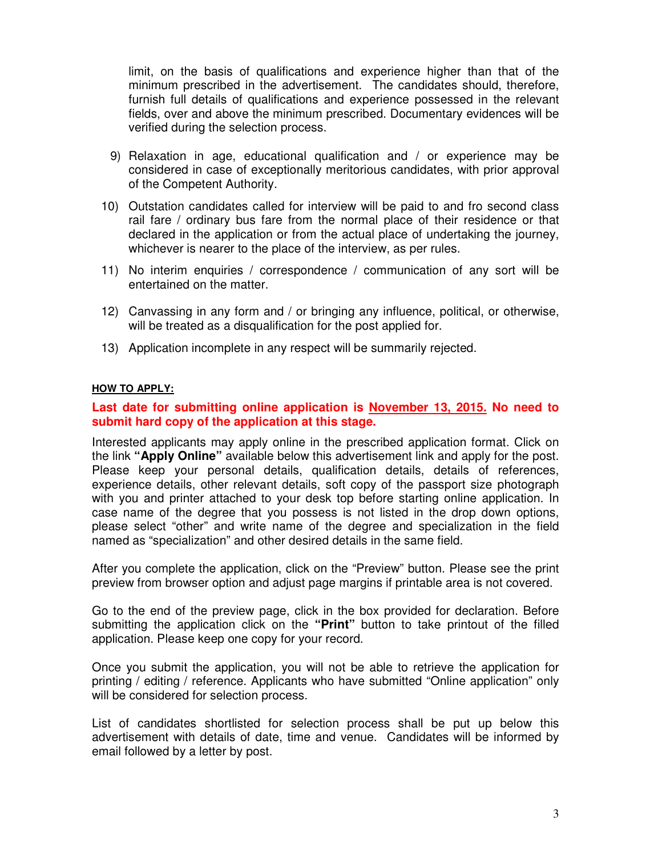limit, on the basis of qualifications and experience higher than that of the minimum prescribed in the advertisement. The candidates should, therefore, furnish full details of qualifications and experience possessed in the relevant fields, over and above the minimum prescribed. Documentary evidences will be verified during the selection process.

- 9) Relaxation in age, educational qualification and / or experience may be considered in case of exceptionally meritorious candidates, with prior approval of the Competent Authority.
- 10) Outstation candidates called for interview will be paid to and fro second class rail fare / ordinary bus fare from the normal place of their residence or that declared in the application or from the actual place of undertaking the journey, whichever is nearer to the place of the interview, as per rules.
- 11) No interim enquiries / correspondence / communication of any sort will be entertained on the matter.
- 12) Canvassing in any form and / or bringing any influence, political, or otherwise, will be treated as a disqualification for the post applied for.
- 13) Application incomplete in any respect will be summarily rejected.

#### **HOW TO APPLY:**

### **Last date for submitting online application is November 13, 2015. No need to submit hard copy of the application at this stage.**

Interested applicants may apply online in the prescribed application format. Click on the link **"Apply Online"** available below this advertisement link and apply for the post. Please keep your personal details, qualification details, details of references, experience details, other relevant details, soft copy of the passport size photograph with you and printer attached to your desk top before starting online application. In case name of the degree that you possess is not listed in the drop down options, please select "other" and write name of the degree and specialization in the field named as "specialization" and other desired details in the same field.

After you complete the application, click on the "Preview" button. Please see the print preview from browser option and adjust page margins if printable area is not covered.

Go to the end of the preview page, click in the box provided for declaration. Before submitting the application click on the **"Print"** button to take printout of the filled application. Please keep one copy for your record.

Once you submit the application, you will not be able to retrieve the application for printing / editing / reference. Applicants who have submitted "Online application" only will be considered for selection process.

List of candidates shortlisted for selection process shall be put up below this advertisement with details of date, time and venue. Candidates will be informed by email followed by a letter by post.